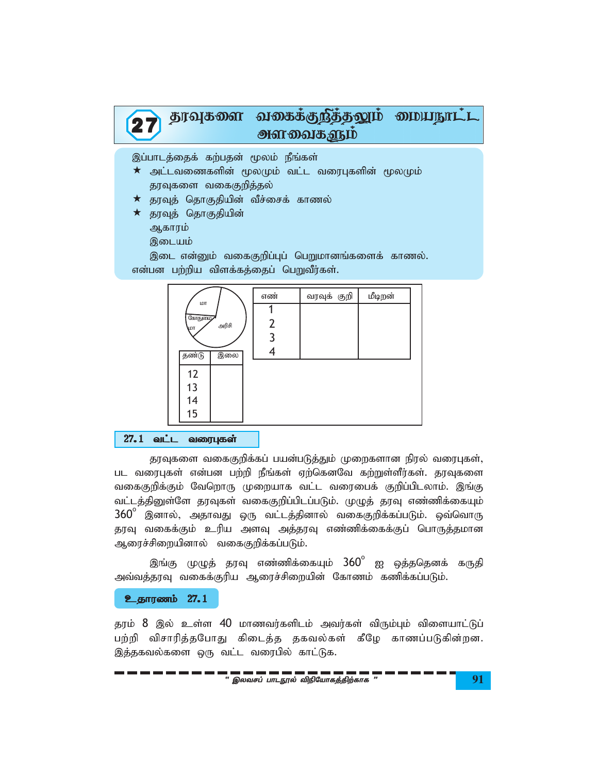

இப்பாடத்தைக் கற்பதன் மூலம் நீங்கள்

- $\star$  அட்டவணைகளின் மூலமும் வட்ட வரைபுகளின் மூலமும் தரவுகளை வகைகுறித்தல்
- $\star$  தரவுத் தொகுதியின் வீச்சைக் காணல்
- $\star$  தரவுத் தொகுதியின் ஆகாரம்
	- இடையம்

இடை என்னும் வகைகுறிப்புப் பெறுமானங்களைக் காணல். என்பன பற்றிய விளக்கத்தைப் பெறுவீர்கள்.



## 27.1 வட்ட வரைபுகள்

தரவுகளை வகைகுறிக்கப் பயன்படுத்தும் முறைகளான நிரல் வரைபுகள், பட வரைபுகள் என்பன பற்றி நீங்கள் ஏற்கெனவே கற்றுள்ளீர்கள். தரவுகளை வகைகுறிக்கும் வேறொரு முறையாக வட்ட வரைபைக் குறிப்பிடலாம். இங்கு வட்டத்தினுள்ளே தரவுகள் வகைகுறிப்பிடப்படும். முழுத் தரவு எண்ணிக்கையும்  $360^\circ$  இனால், அதாவது ஒரு வட்டத்தினால் வகைகுறிக்கப்படும். ஒவ்வொரு தரவு வகைக்கும் உரிய அளவு அத்தரவு எண்ணிக்கைக்குப் பொருத்தமான ஆரைச்சிறையினால் வகைகுறிக்கப்படும்.

இங்கு முழுத் தரவு எண்ணிக்கையும்  $360^{\circ}$  ஐ ஒத்ததெனக் கருதி அவ்வத்தரவு வகைக்குரிய ஆரைச்சிறையின் கோணம் கணிக்கப்படும்.

#### **உதாரணம் 27.1**

தரம் 8 இல் உள்ள 40 மாணவர்களிடம் அவர்கள் விரும்பும் விளையாட்டுப் பற்றி விசாரித்தபோது கிடைத்த தகவல்கள் கீழே காணப்படுகின்றன. இத்தகவல்களை ஒரு வட்ட வரைபில் காட்டுக.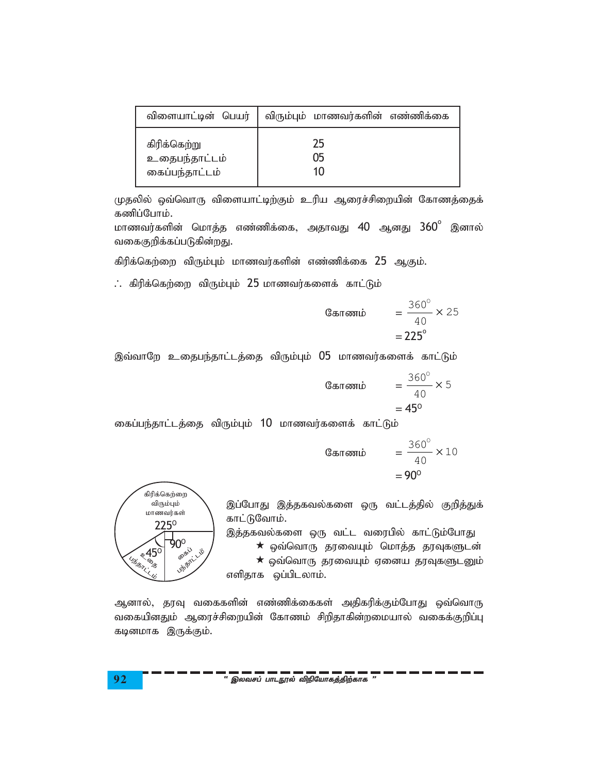| விளையாட்டின் பெயர் | விரும்பும் மாணவர்களின் எண்ணிக்கை |
|--------------------|----------------------------------|
| கிரிக்கெற்று       | 25                               |
| உதைபந்தாட்டம்      | 05                               |
| கைப்பந்தாட்டம்     | 10                               |

முதலில் ஒவ்வொரு விளையாட்டிற்கும் உரிய ஆரைச்சிறையின் கோணத்தைக் கணிப்போம்.

மாணவர்களின் மொத்த எண்ணிக்கை, அதாவது 40 ஆனது 360° இனால் வகைகுறிக்கப்படுகின்றது.

கிரிக்கெற்றை விரும்பும் மாணவர்களின் எண்ணிக்கை 25 ஆகும்.

 $\therefore$  கிரிக்கெற்றை விரும்பும் 25 மாணவர்களைக் காட்டும்

Cauchy equation is given by:

\n
$$
= \frac{360^{\circ}}{40} \times 25
$$
\n
$$
= 225^{\circ}
$$

இவ்வாறே உதைபந்தாட்டத்தை விரும்பும் 05 மாணவர்களைக் காட்டும்

Cauchy equation is given by:

\n
$$
= \frac{360^{\circ}}{40} \times 5
$$
\n
$$
= 45^{\circ}
$$

கைப்பந்தாட்டத்தை விரும்பும் 10 மாணவர்களைக் காட்டும்

$$
\begin{array}{rcl} \text{C} & = & \frac{360^{\circ}}{40} \times 10 \\ & = & 90^{\circ} \end{array}
$$



இப்போது இத்தகவல்களை ஒரு வட்டத்தில் குறித்துக் காட்டுவோம்.

இத்தகவல்களை ஒரு வட்ட வரைபில் காட்டும்போது  $\star$  ஒவ்வொரு தரவையும் மொத்த தரவுகளுடன்  $\star$  ஒவ்வொரு தரவையும் ஏனைய தரவுகளுடனும் எளிதாக ஒப்பிடலாம்.

ஆனால், தரவு வகைகளின் எண்ணிக்கைகள் அதிகரிக்கும்போது ஒவ்வொரு வகையினதும் ஆரைச்சிறையின் கோணம் சிறிதாகின்றமையால் வகைக்குறிப்பு கடினமாக இருக்கும்.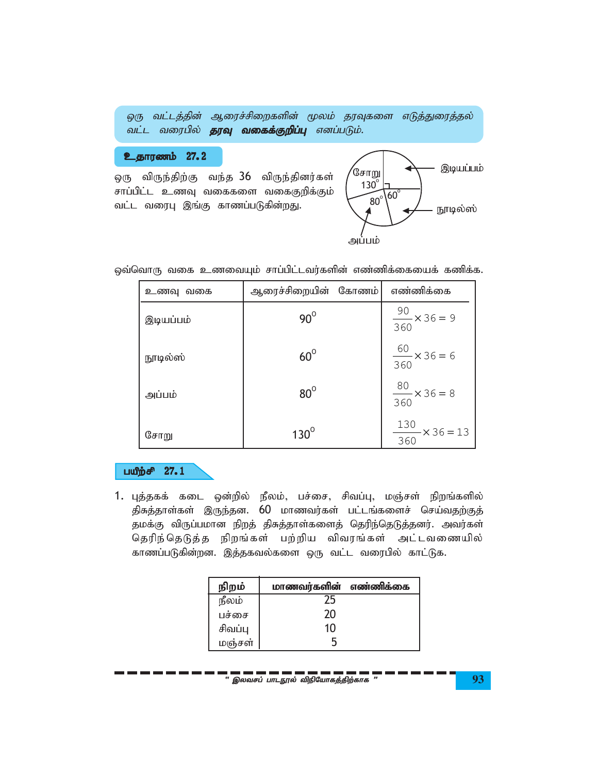|  |                                                   |  | ஒரு வட்டத்தின் ஆரைச்சிறைகளின் மூலம் தரவுகளை எடுத்துரைத்தல் |
|--|---------------------------------------------------|--|------------------------------------------------------------|
|  | வட்ட வரைபில் <b>தரவு வகைக்குறிப்பு</b> எனப்படும். |  |                                                            |

# உதாரணம் 27.2

ஒரு விருந்திற்கு வந்த 36 விருந்தினர்கள் சாப்பிட்ட உணவு வகைகளை வகைகுறிக்கும் வட்ட வரைபு இங்கு காணப்படுகின்றது.



ஒவ்வொரு வகை உணவையும் சாப்பிட்டவர்களின் எண்ணிக்கையைக் கணிக்க.

| உணவு வகை  | ஆரைச்சிறையின் கோணம் | எண்ணிக்கை                           |
|-----------|---------------------|-------------------------------------|
| இடியப்பம் | $90^\circ$          | $\frac{90}{360}$ × 36 = 9           |
| நூடில்ஸ்  | $60^\circ$          | $\frac{60}{2}$ × 36 = 6<br>360      |
| அப்பம்    | $80^\circ$          | $\frac{80}{1} \times 36 = 8$<br>360 |
| சோறு      | $130^\circ$         | $\frac{130}{1}$ × 36 = 13<br>360    |

## பயீற்சி 27.1

1. புத்தகக் கடை ஒன்றில் நீலம், பச்சை, சிவப்பு, மஞ்சள் நிறங்களில் திசுத்தாள்கள் இருந்தன. 60 மாணவர்கள் பட்டங்களைச் செய்வதற்குத் தமக்கு விருப்பமான நிறத் திசுத்தாள்களைத் தெரிந்தெடுத்தனர். அவர்கள் தெரிந்தெடுத்த நிறங்கள் பற்றிய விவரங்கள் அட்டவணையில் காணப்படுகின்றன. இத்தகவல்களை ஒரு வட்ட வரைபில் காட்டுக.

| நிறம்   | மாணவர்களின் எண்ணிக்கை |  |
|---------|-----------------------|--|
| நீலம்   | , ל                   |  |
| பச்சை   | 20                    |  |
| சிவப்பு | 10                    |  |
| மஞ்சள்  |                       |  |

" இலவசப் பாடநூல் விநியோகத்திற்காக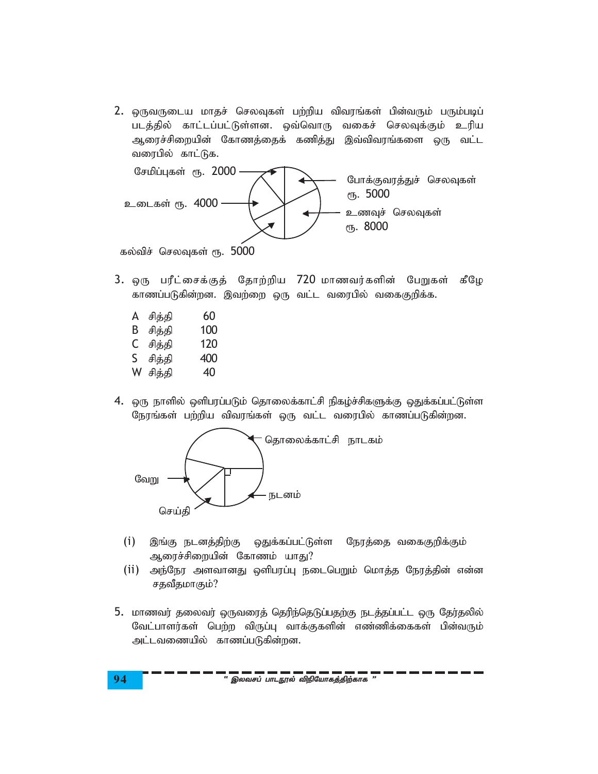2. ஒருவருடைய மாதச் செலவுகள் பற்றிய விவரங்கள் பின்வரும் பரும்படிப் படத்தில் காட்டப்பட்டுள்ளன. ஒவ்வொரு வகைச் செலவுக்கும் உரிய ஆரைச்சிறையின் கோணத்தைக் கணித்து இவ்விவரங்களை ஒரு வட்ட வரைபில் காட்டுக.



கல்விச் செலவுகள் ரூ.  $5000$ 

- 3. ஒரு பரீட்சைக்குத் தோற்றிய 720 மாணவர்களின் பேறுகள் கீழே காணப்படுகின்றன. இவற்றை ஒரு வட்ட வரைபில் வகைகுறிக்க.
	- A சித்தி 60 B சித்தி 100
	- C சித்தி 120
	- S சிக்கி 400
	- W சித்தி 40
- 4. ஒரு நாளில் ஒளிபரப்படும் தொலைக்காட்சி நிகழ்ச்சிகளுக்கு ஒதுக்கப்பட்டுள்ள நேரங்கள் பற்றிய விவரங்கள் ஒரு வட்ட வரைபில் காணப்படுகின்றன.



- (i) இங்கு நடனத்திற்கு ஒதுக்கப்பட்டுள்ள நேரத்தை வகைகுறிக்கும் ஆரைச்சிறையின் கோணம் யாது?
- (ii) அந்நேர அளவானது ஒளிபரப்பு நடைபெறும் மொத்த நேரத்தின் என்ன சதவீதமாகும்?
- 5. மாணவர் தலைவர் ஒருவரைத் தெரிந்தெடுப்பதற்கு நடத்தப்பட்ட ஒரு தேர்தலில் வேட்பாளர்கள் பெற்ற விருப்பு வாக்குகளின் எண்ணிக்கைகள் பின்வரும் அட்டவணையில் காணப்படுகின்றன.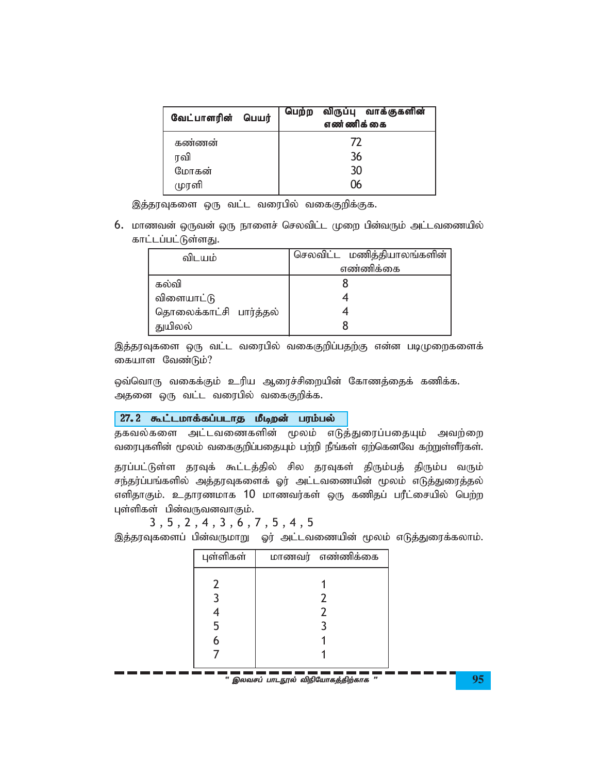| வேட்பாளரின்<br>பெயர் | விருப்பு வாக்குகளின்<br>பெற்ற<br>எண்ணிக்கை |  |  |
|----------------------|--------------------------------------------|--|--|
| கண்ணன்               | 77                                         |  |  |
| ரவி                  | 36                                         |  |  |
| மோகன்                | 30                                         |  |  |
| முரளி                |                                            |  |  |

இத்தரவுகளை ஒரு வட்ட வரைபில் வகைகுறிக்குக.

 $6.$  மாணவன் ஒருவன் ஒரு நாளைச் செலவிட்ட முறை பின்வரும் அட்டவணையில் காட்டப்பட்டுள்ளது.

| விடயம்                 | செலவிட்ட மணித்தியாலங்களின் |
|------------------------|----------------------------|
|                        | எண்ணிக்கை                  |
| கல்வி                  |                            |
| விளையாட்டு             |                            |
| தொலைக்காட்சி பார்த்தல் |                            |
| துயிலல்                |                            |

இத்தரவுகளை ஒரு வட்ட வரைபில் வகைகுறிப்பதற்கு என்ன படிமுறைகளைக் கையாள வேண்டும்?

ஒவ்வொரு வகைக்கும் உரிய ஆரைச்சிறையின் கோணத்தைக் கணிக்க. அதனை ஒரு வட்ட வரைபில் வகைகுறிக்க.

## 27.2 கூட்டமாக்கப்படாத மீடிறன் பரம்பல்

தகவல்களை அட்டவணைகளின் மூலம் எடுத்துரைப்பதையும் அவற்றை வரைபுகளின் மூலம் வகைகுறிப்பதையும் பற்றி நீங்கள் ஏற்கெனவே கற்றுள்ளீர்கள்.

தரப்பட்டுள்ள தரவுக் கூட்டத்தில் சில தரவுகள் திரும்பத் திரும்ப வரும் சந்தர்ப்பங்களில் அத்தரவுகளைக் ஓர் அட்டவணையின் மூலம் எடுத்துரைத்தல் எளிதாகும். உதாரணமாக 10 மாணவர்கள் ஒரு கணிதப் பரீட்சையில் பெற்ற புள்ளிகள் பின்வருவனவாகும்.

3 , 5 , 2 , 4 , 3 , 6 , 7 , 5 , 4 , 5

. . . . . .

இத்தரவுகளைப் பின்வருமாறு ஓர் அட்டவணையின் மூலம் எடுத்துரைக்கலாம்.

| புள்ளிகள் | மாணவர் எண்ணிக்கை                    |  |
|-----------|-------------------------------------|--|
|           |                                     |  |
|           |                                     |  |
|           |                                     |  |
|           |                                     |  |
|           |                                     |  |
|           |                                     |  |
|           | " இலவசப் பாடநூல் விநியோகத்திற்காக " |  |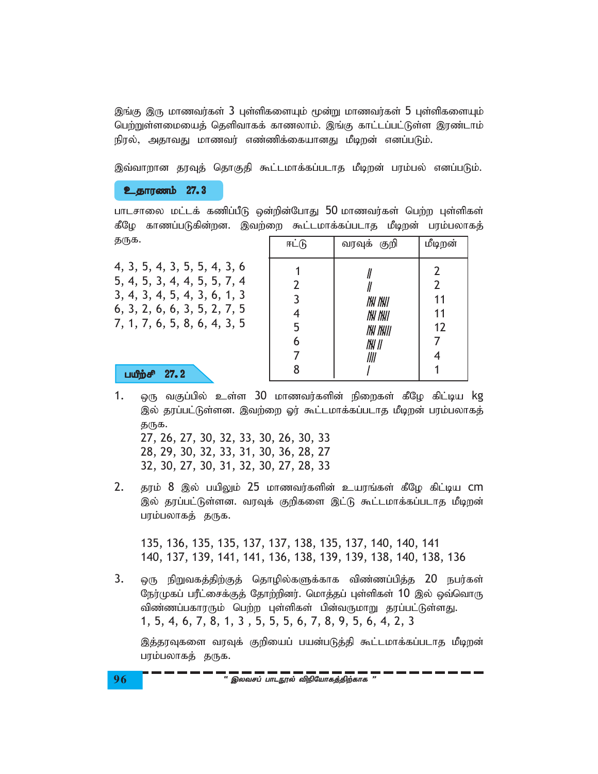இங்கு இரு மாணவர்கள் 3 புள்ளிகளையும் மூன்று மாணவர்கள் 5 புள்ளிகளையும் பெற்றுள்ளமையைத் தெளிவாகக் காணலாம். இங்கு காட்டப்பட்டுள்ள இரண்டாம் நிரல், அதாவது மாணவர் எண்ணிக்கையானது மீடிறன் எனப்படும்.

இவ்வாறான தரவுத் தொகுதி கூட்டமாக்கப்படாத மீடிறன் பரம்பல் எனப்படும்.

உதாரணம் 27.3

பாடசாலை மட்டக் கணிப்பீடு ஒன்றின்போது 50 மாணவர்கள் பெற்ற புள்ளிகள் கீழே காணப்படுகின்றன. இவற்றை கூட்டமாக்கப்படாத மீடிறன் பரம்பலாகத் தருக.

4, 3, 5, 4, 3, 5, 5, 4, 3, 6 5, 4, 5, 3, 4, 4, 5, 5, 7, 4 3, 4, 3, 4, 5, 4, 3, 6, 1, 3 6, 3, 2, 6, 6, 3, 5, 2, 7, 5 7, 1, 7, 6, 5, 8, 6, 4, 3, 5

பயீற்சி 27.2

| ஈட்டு                                                             | வரவுக் குறி                                       | மீடிறன்                         |
|-------------------------------------------------------------------|---------------------------------------------------|---------------------------------|
| $\overline{2}$<br>$\overline{3}$<br>4<br>5<br>$\overline{6}$<br>7 | NN NNI<br>NW NWI<br><i>IN INII</i><br>INI II<br>∭ | $\frac{2}{2}$<br>11<br>11<br>12 |
| 8                                                                 |                                                   |                                 |

1. ஒரு வகுப்பில் உள்ள 30 மாணவர்களின் நிறைகள் கீழே கிட்டிய kg இல் காப்பட்டுள்ளன. இவற்றை ஓர் கூட்டமாக்கப்படாக மீடிறன் பாம்பலாகக் தருக. 27, 26, 27, 30, 32, 33, 30, 26, 30, 33 28, 29, 30, 32, 33, 31, 30, 36, 28, 27

32, 30, 27, 30, 31, 32, 30, 27, 28, 33

2. தரம் 8 இல் பயிலும் 25 மாணவர்களின் உயரங்கள் கீழே கிட்டிய CM இல் தரப்பட்டுள்ளன. வரவுக் குறிகளை இட்டு கூட்டமாக்கப்படாத மீடிறன் பரம்பலாகத் தருக.

135, 136, 135, 135, 137, 137, 138, 135, 137, 140, 140, 141 140, 137, 139, 141, 141, 136, 138, 139, 139, 138, 140, 138, 136

 $3.$ ஒரு நிறுவகத்திற்குத் தொழில்களுக்காக விண்ணப்பித்த 20 நபர்கள் நேர்முகப் பரீட்சைக்குத் தோற்றினர். மொத்தப் புள்ளிகள் 10 இல் ஒவ்வொரு விண்ணப்பகாரரும் பெற்ற புள்ளிகள் பின்வருமாறு தரப்பட்டுள்ளது. 1, 5, 4, 6, 7, 8, 1, 3, 5, 5, 5, 6, 7, 8, 9, 5, 6, 4, 2, 3

இக்காவுகளை வாவுக் குறியைப் பயன்படுக்கி கூட்டமாக்கப்படாக மீடிறன் பரம்பலாகத் தருக.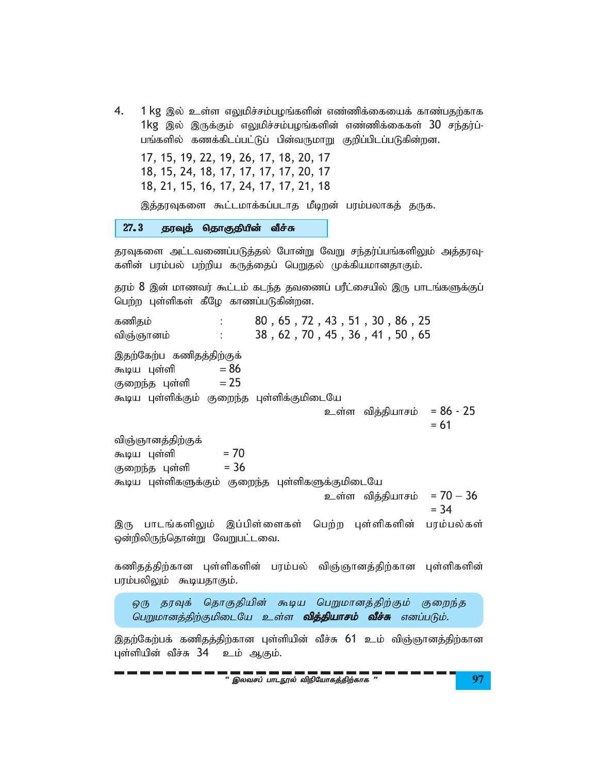$4.$  1 kg இல் உள்ள எலுமிச்சம்பழங்களின் எண்ணிக்கையைக் காண்பதற்காக  $1$ kg இல் இருக்கும் எலுமிச்சம்பழங்களின் எண்ணிக்கைகள்  $30$  சந்தர்ப்-பங்களில் கணக்கிடப்பட்டுப் பின்வருமாறு குறிப்பிடப்படுகின்றன.

17, 15, 19, 22, 19, 26, 17, 18, 20, 17 18, 15, 24, 18, 17, 17, 17, 17, 20, 17 18, 21, 15, 16, 17, 24, 17, 17, 21, 18

இத்தரவுகளை கூட்டமாக்கப்படாத மீடிறன் பரம்பலாகத் தருக.

27.3 தரவுத் தொகுதியின் வீச்சு

தரவுகளை அட்டவணைப்படுத்தல் போன்று வேறு சந்தர்ப்பங்களிலும் அத்தரவு-களின் பரம்பல் பற்றிய கருத்தைப் பெறுதல் முக்கியமானதாகும்.

தரம்  $8$  இன் மாணவர் கூட்டம் கடந்த தவணைப் பரீட்சையில் இரு பாடங்களுக்குப் பெற்ற புள்ளிகள் கீழே காணப்படுகின்றன.

கணிதம் : 80, 65, 72, 43, 51, 30, 86, 25 விஞ்ஞானம் : 38 , 62 , 70 , 45 , 36 , 41 , 50 , 65 இதற்கேற்ப கணிதத்திற்குக் கூடிய புள்ளி  $= 86$ குறைந்த புள்ளி  $= 25$ கூடிய புள்ளிக்கும் குறைந்த புள்ளிக்குமிடையே  $2$ ன்ள வித்தியாசம் =  $86 - 25$  $= 61$ விஞ்ஞானத்திற்குக் \$ba Gs;sp = 70 குறைந்த புள்ளி  $= 36$ கூடிய புள்ளிகளுக்கும் குறைந்த புள்ளிகளுக்குமிடையே  $\epsilon$ ைள்ள வித்தியாசம் = 70  $-36$  $= 34$ இரு பாடங்களிலும் இப்பிள்ளைகள் பெற்ற புள்ளிகளின் பரம்பல்கள் ஒன்றிலிருந்தொன்று வேறுபட்டவை. கணிதத்திற்கான புள்ளிகளின் பரம்பல் விஞ்ஞானத்திற்கான புள்ளிகளின்

பரம்பலிலும் கூடியதாகும்.

ஒரு தரவுக் தொகுதியின் கூடிய பெறுமானத்திற்கும் குறைந்த பெறுமானத்திற்குமிடையே உள்ள **வித்தியாசம் வீச்சு** எனப்படும்.

இதற்கேற்பக் கணிதத்திற்கான புள்ளியின் வீச்சு 61 உம் விஞ்ஞானத்திற்கான புள்ளியின் வீச்சு 34 உம் ஆகும்.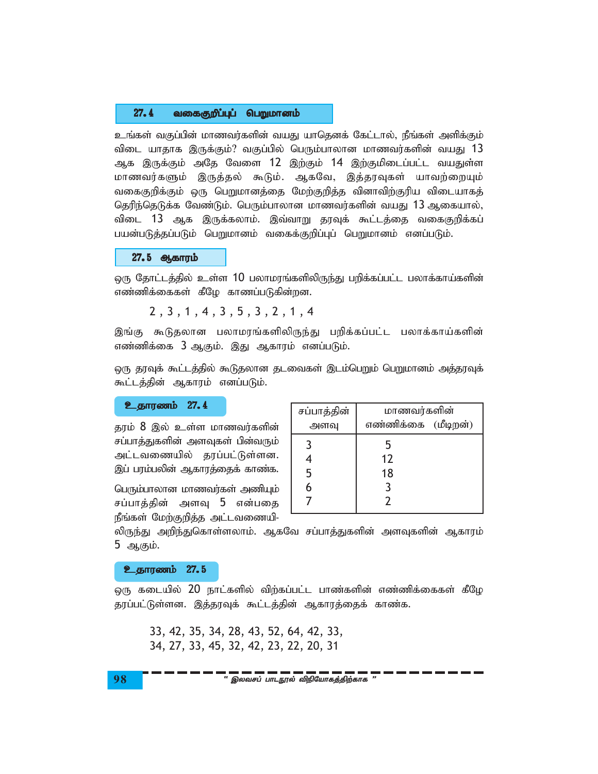#### $27.4$ வகைகுறீப்புப் பெறுமானம்

உங்கள் வகுப்பின் மாணவர்களின் வயது யாதெனக் கேட்டால், நீங்கள் அளிக்கும் விடை யாதாக இருக்கும்? வகுப்பில் பெரும்பாலான மாணவர்களின் வயது 13 ஆக இருக்கும் அதே வேளை 12 இற்கும் 14 இற்குமிடைப்பட்ட வயதுள்ள மாணவர்களும் இருத்தல் கூடும். ஆகவே, இத்தரவுகள் யாவற்றையும் வகைகுறிக்கும் ஒரு பெறுமானத்தை மேற்குறித்த வினாவிற்குரிய விடையாகத் தெரிந்தெடுக்க வேண்டும். பெரும்பாலான மாணவர்களின் வயது 13 ஆகையால், விடை 13 ஆக இருக்கலாம். இவ்வாறு தரவுக் கூட்டத்தை வகைகுறிக்கப் பயன்படுத்தப்படும் பெறுமானம் வகைக்குறிப்புப் பெறுமானம் எனப்படும்.

#### 27.5 ஆகாரம்

ஒரு தோட்டத்தில் உள்ள 10 பலாமரங்களிலிருந்து பறிக்கப்பட்ட பலாக்காய்களின் எண்ணிக்கைகள் கீழே காணப்படுகின்றன.

```
2, 3, 1, 4, 3, 5, 3, 2, 1, 4
```
இங்கு கூடுதலான பலாமரங்களிலிருந்து பறிக்கப்பட்ட பலாக்காய்களின் எண்ணிக்கை 3 ஆகும். இது ஆகாரம் எனப்படும்.

ஒரு தரவுக் கூட்டத்தில் கூடுதலான தடவைகள் இடம்பெறும் பெறுமானம் அத்தரவுக் கூட்டத்தின் ஆகாரம் எனப்படும்.

**உதாரணம் 27.4** 

தரம் 8 இல் உள்ள மாணவர்களின் சப்பாத்துகளின் அளவுகள் பின்வரும் அட்டவணையில் தரப்பட்டுள்ளன. இப் பரம்பலின் ஆகாரத்தைக் காண்க.

பெரும்பாலான மாணவர்கள் அணியும் சப்பாத்தின் அளவு 5 என்பதை நீங்கள் மேற்குறித்த அட்டவணையி-

| சப்பாத்தின் | மாணவர்களின்         |  |
|-------------|---------------------|--|
| அளவு        | எண்ணிக்கை (மீடிறன்) |  |
| 3           | 5                   |  |
|             | 12                  |  |
| 5           | 18                  |  |
| 6           |                     |  |
|             |                     |  |

லிருந்து அறிந்துகொள்ளலாம். ஆகவே சப்பாத்துகளின் அளவுகளின் ஆகாரம் 5 ஆகும்.

#### உதாரணம் 27.5

ஒரு கடையில் 20 நாட்களில் விற்கப்பட்ட பாண்களின் எண்ணிக்கைகள் கீழே தரப்பட்டுள்ளன. இத்தரவுக் கூட்டத்தின் ஆகாரத்தைக் காண்க.

33, 42, 35, 34, 28, 43, 52, 64, 42, 33, 34, 27, 33, 45, 32, 42, 23, 22, 20, 31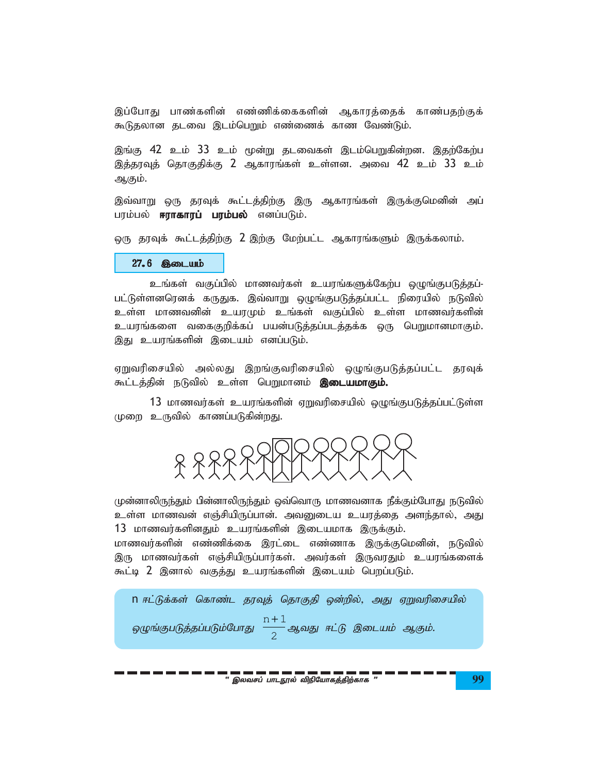இப்போது பாண்களின் எண்ணிக்கைகளின் ஆகாரத்தைக் காண்பதற்குக் கூடுதலான தடவை இடம்பெறும் எண்ணைக் காண வேண்டும்.

இங்கு 42 உம் 33 உம் மூன்று தடவைகள் இடம்பெறுகின்றன. இதற்கேற்ப இத்தரவுத் தொகுதிக்கு 2 ஆகாரங்கள் உள்ளன. அவை 42 உம் 33 உம் ஆகும்.

இவ்வாறு ஒரு தரவுக் கூட்டத்திற்கு இரு ஆகாரங்கள் இருக்குமெனின் அப் பரம்பல் **ஈராகாரப் பரம்பல்** எனப்படும்.

ஒரு தரவுக் கூட்டத்திற்கு 2 இற்கு மேற்பட்ட ஆகாரங்களும் இருக்கலாம்.

#### 27.6 இடையம்

உங்கள் வகுப்பில் மாணவர்கள் உயரங்களுக்கேற்ப ஒழுங்குபடுத்தப்-பட்டுள்ளனரெனக் கருதுக. இவ்வாறு ஒழுங்குபடுத்தப்பட்ட நிரையில் நடுவில் உள்ள மாணவனின் உயரமும் உங்கள் வகுப்பில் உள்ள மாணவர்களின் உயரங்களை வகைகுறிக்கப் பயன்படுத்தப்படத்தக்க ஒரு பெறுமானமாகும். இது உயரங்களின் இடையம் எனப்படும்.

ஏறுவரிசையில் அல்லது இறங்குவரிசையில் ஒழுங்குபடுத்தப்பட்ட தரவுக் கூட்டத்தின் நடுவில் உள்ள பெறுமானம் **இடையமாகும்.** 

13 மாணவர்கள் உயரங்களின் ஏறுவரிசையில் ஒழுங்குபடுத்தப்பட்டுள்ள முறை உருவில் காணப்படுகின்றது.



முன்னாலிருந்தும் பின்னாலிருந்தும் ஒவ்வொரு மாணவனாக நீக்கும்போது நடுவில் உள்ள மாணவன் எஞ்சியிருப்பான். அவனுடைய உயரத்தை அளந்தால், அது 13 மாணவர்களினதும் உயரங்களின் இடையமாக இருக்கும்.

மாணவர்களின் எண்ணிக்கை இரட்டை எண்ணாக இருக்குமெனின், நடுவில் இரு மாணவர்கள் எஞ்சியிருப்பார்கள். அவர்கள் இருவரதும் உயரங்களைக் கூட்டி 2 இனால் வகுத்து உயரங்களின் இடையம் பெறப்படும்.

n ஈட்டுக்கள் கொண்ட தரவுத் தொகுதி ஒன்றில், அது ஏறுவரிசையில் ஒழுங்குபடுத்தப்படும்போது  $\frac{n+1}{2}$ ஆவது ஈட்டு இடையம் ஆகும்.

" இலவசப் பாடநூல் விநியோகத்திற்காக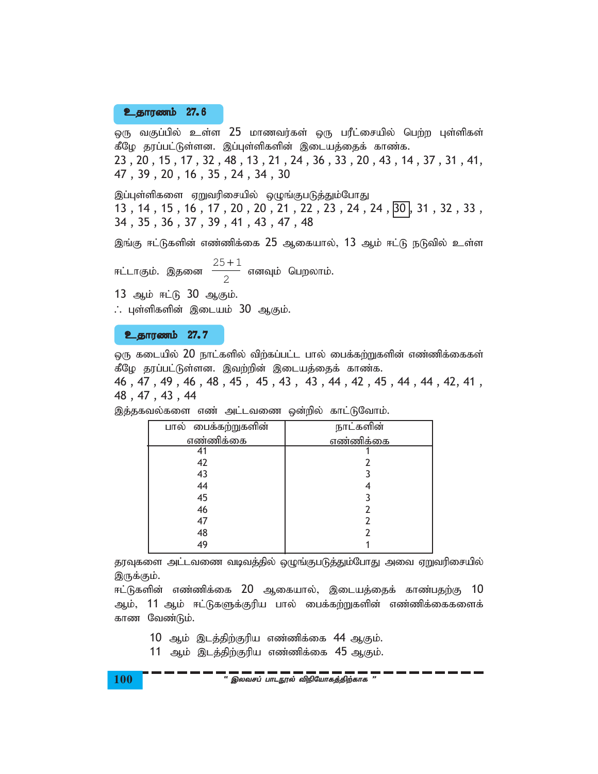### **உதாரணம் 27.6**

ஒரு வகுப்பில் உள்ள 25 மாணவர்கள் ஒரு பரீட்சையில் பெற்ற புள்ளிகள் கீழே தரப்பட்டுள்ளன. இப்புள்ளிகளின் இடையத்தைக் காண்க. 23 , 20 , 15 , 17 , 32 , 48 , 13 , 21 , 24 , 36 , 33 , 20 , 43 , 14 , 37 , 31 , 41, 47 , 39 , 20 , 16 , 35 , 24 , 34 , 30

இப்புள்ளிகளை ஏறுவரிசையில் ஒழுங்குபடுத்தும்போது 13, 14, 15, 16, 17, 20, 20, 21, 22, 23, 24, 24,  $\overline{30}$ , 31, 32, 33, 34 , 35 , 36 , 37 , 39 , 41 , 43 , 47 , 48

இங்கு ஈட்டுகளின் எண்ணிக்கை 25 ஆகையால், 13 ஆம் ஈட்டு நடுவில் உள்ள

ஈட்டாகும். இதனை  $25 + 1$ 2 + எனவும் பெறலாம்.

13 ஆம் ஈட்டு 30 ஆகும்.

∴ புள்ளிகளின் இடையம் 30 ஆகும்.

#### <u>உதாரணம் 27.7</u>

ஒரு கடையில்  $20$  நாட்களில் விற்கப்பட்ட பால் பைக்கற்றுகளின் எண்ணிக்கைகள் கீழே தரப்பட்டுள்ளன. இவற்றின் இடையத்தைக் காண்க.

46 , 47 , 49 , 46 , 48 , 45 , 45 , 43 , 43 , 44 , 42 , 45 , 44 , 44 , 42, 41 , 48 , 47 , 43 , 44

| பால் பைக்கற்றுகளின் | நாட்களின் |
|---------------------|-----------|
| எண்ணிக்கை           | எண்ணிக்கை |
|                     |           |
| 42                  |           |
| 43                  |           |
| 44                  |           |
| 45                  |           |
| 46                  |           |
| 47                  |           |
| 48                  |           |
| 49                  |           |

இத்தகவல்களை எண் அட்டவணை ஒன்றில் காட்டுவோம்.

தரவுகளை அட்டவணை வடிவத்தில் ஒழுங்குபடுத்தும்போது அவை ஏறுவரிசையில் இருக்கும்.

ஈட்டுகளின் எண்ணிக்கை 20 ஆகையால், இடையத்தைக் காண்பதற்கு 10 ஆம், 11 ஆம் ஈட்டுகளுக்குரிய பால் பைக்கற்றுகளின் எண்ணிக்கைகளைக் காண வேண்டும்.

- 10 ஆம் இடத்திற்குரிய எண்ணிக்கை 44 ஆகும்.
- 11 ஆம் இடத்திற்குரிய எண்ணிக்கை 45 ஆகும்.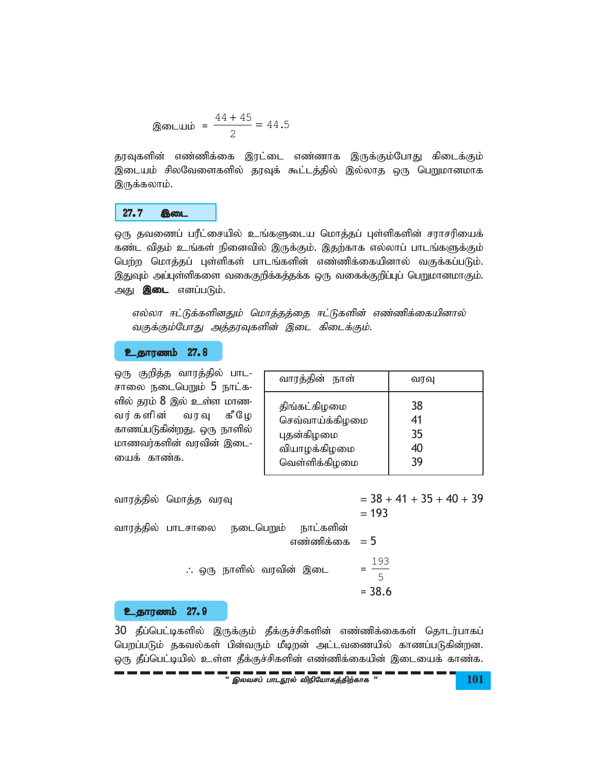$$
ext{3.5} \quad \text{3.5} \quad \text{3.6} \quad \text{4.7} \quad \text{4.8} \quad \text{5.7} \quad \text{5.7} \quad \text{6.7} \quad \text{6.7} \quad \text{7.7} \quad \text{8.7} \quad \text{9.7} \quad \text{10.7} \quad \text{11.7} \quad \text{12.7} \quad \text{13.7} \quad \text{14.7} \quad \text{15.7} \quad \text{16.7} \quad \text{17.7} \quad \text{18.7} \quad \text{19.7} \quad \text{19.7} \quad \text{10.7} \quad \text{10.7} \quad \text{11.7} \quad \text{12.7} \quad \text{13.7} \quad \text{14.7} \quad \text{15.7} \quad \text{16.7} \quad \text{17.7} \quad \text{18.7} \quad \text{19.7} \quad \text{19.7} \quad \text{19.7} \quad \text{19.7} \quad \text{19.7} \quad \text{19.7} \quad \text{19.7} \quad \text{19.7} \quad \text{19.7} \quad \text{19.7} \quad \text{19.7} \quad \text{19.7} \quad \text{19.7} \quad \text{19.7} \quad \text{19.7} \quad \text{19.7} \quad \text{19.7} \quad \text{19.7} \quad \text{19.7} \quad \text{19.7} \quad \text{19.7} \quad \text{19.7} \quad \text{19.7} \quad \text{19.7} \quad \text{19.7} \quad \text{19.7} \quad \text{19.7} \quad \text{19.7} \quad \text{19.7} \quad \text{19.7} \quad \text{19.7} \quad \text{19.7} \quad \text{19.7} \quad \text{19.7} \quad \text{19.7} \quad \text{19.7} \quad \text{19.7} \quad \text{19.7} \quad \text{19.7} \quad \text{19.7} \quad \text{19.7} \quad \text{19.7} \quad \text{19.7} \quad \text{19.7} \quad \text
$$

தரவுகளின் எண்ணிக்கை இரட்டை எண்ணாக இருக்கும்போது கிடைக்கும் இடையம் சிலவேளைகளில் தரவுக் கூட்டத்தில் இல்லாத ஒரு பெறுமானமாக இருக்கலாம்.

#### $27.7$ இடை

ஒரு தவணைப் பரீட்சையில் உங்களுடைய மொத்தப் புள்ளிகளின் சராசரியைக் கண்ட விதம் உங்கள் நினைவில் இருக்கும். இதற்காக எல்லாப் பாடங்களுக்கும் பெற்ற மொத்தப் புள்ளிகள் பாடங்களின் எண்ணிக்கையினால் வகுக்கப்படும். இதுவும் அப்புள்ளிகளை வகைகுறிக்கத்தக்க ஒரு வகைக்குறிப்புப் பெறுமானமாகும். அது **இடை** எனப்படும்.

எல்லா ஈட்டுக்களினதும் மொத்தத்தை ஈட்டுகளின் எண்ணிக்கையினால் வகுக்கும்போது அத்தரவுகளின் இடை கிடைக்கும்.

#### **உதாரணம் 27.8**

<u>ஒரு குறித்த வாரத்தில் பாட-</u> சாலை நடைபெறும் 5 நாட்க-ளில் தரம் 8 இல் உள்ள மாண-வர் களின் வரவு கீழே காணப்படுகின்றது. ஒரு நாளில் மாணவர்களின் வரவின் இடை-யைக் காண்க.

| வாரத்தின் நாள்  | வரவு |
|-----------------|------|
| திங்கட்கிழமை    | 38   |
| செவ்வாய்க்கிழமை | 41   |
| புதன்கிழமை      | 35   |
| வியாழக்கிழமை    | 40   |
| வெள்ளிக்கிழமை   | 30   |

 $=$  38 + 41 + 35 + 40 + 39 வாரத்தில் மொத்த வரவு  $= 193$ வாரத்தில் பாடசாலை நடைபெறும் நாட்களின் எண்ணிக்கை  $= 5$  $=\frac{193}{5}$ ∴ ஒரு நாளில் வரவின் இடை  $= 38.6$ 

### உதாரணம் 27.9

30 தீப்பெட்டிகளில் இருக்கும் தீக்குச்சிகளின் எண்ணிக்கைகள் தொடர்பாகப் பெறப்படும் தகவல்கள் பின்வரும் மீடிறன் அட்டவணையில் காணப்படுகின்றன. ஒரு தீப்பெட்டியில் உள்ள தீக்குச்சிகளின் எண்ணிக்கையின் இடையைக் காண்க.

**101**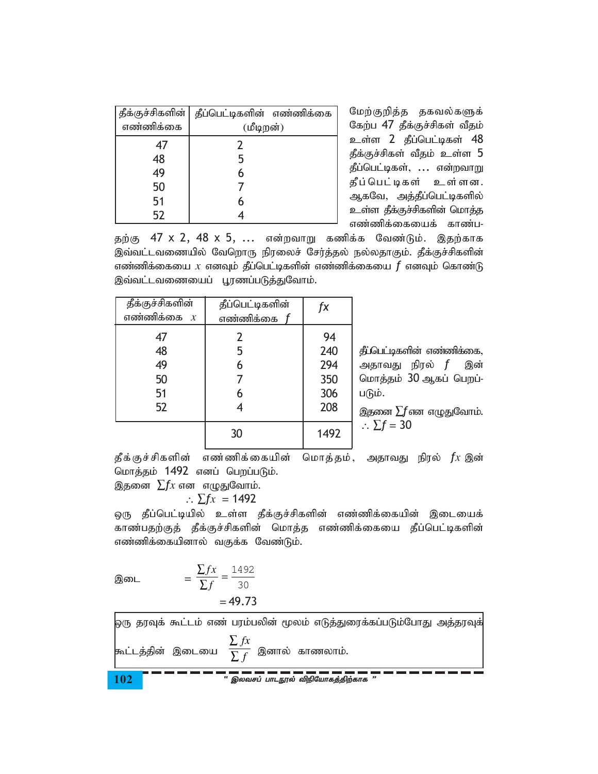| தீக்குச்சிகளின் | தீப்பெட்டிகளின் எண்ணிக்கை |
|-----------------|---------------------------|
| எண்ணிக்கை       | (மீடிறன்)                 |
| 47              |                           |
| 48              | 5                         |
| 49              |                           |
| 50              |                           |
| 51              |                           |
| 52              |                           |

மேற்குறித்த தகவல்களுக் கேற்ப 47 தீக்குச்சிகள் வீதம் உள்ள 2 தீப்பெட்டிகள் 48 தீக்குச்சிகள் வீதம் உள்ள 5 தீப்பெட்டிகள், ... என்றவாறு தீப்பெட்டிகள் உள்ளன. ஆகவே, அத்தீப்பெட்டிகளில் உள்ள தீக்குச்சிகளின் மொத்த எண்ணிக்கையைக் காண்ப-

தற்கு 47 x 2, 48 x 5, ... என்றவாறு கணிக்க வேண்டும். இதற்காக இவ்வட்டவணையில் வேறொரு நிரலைச் சேர்த்தல் நல்லதாகும். தீக்குச்சிகளின் எண்ணிக்கையை  $x$  எனவும் தீப்பெட்டிகளின் எண்ணிக்கையை  $\bm{f}$  எனவும் கொண்டு இவ்வட்டவணையைப் பூரணப்படுத்துவோம்.

| தீக்குச்சிகளின்<br>எண்ணிக்கை $x$ | தீப்பெட்டிகளின்<br>எண்ணிக்கை <i>f</i> | fx   |
|----------------------------------|---------------------------------------|------|
| 47                               | $\overline{2}$                        | 94   |
| 48                               | 5                                     | 240  |
| 49                               | 6                                     | 294  |
| 50                               |                                       | 350  |
| 51                               | 6                                     | 306  |
| 52                               |                                       | 208  |
|                                  | 30                                    | 1492 |

தீட்பெட்டிகளின் எண்ணிக்கை, அதாவது நிரல் *f* இன் மொத்தம் 30 ஆகப் பெறப்-படும்.

இதனை  $\Sigma f$ என எழுதுவோம்.  $\therefore \Sigma f = 30$ 

தீக்குச்சிகளின் எண்ணிக்கையின் மொத்தம், அதாவது நிரல்  $fx$  இன் மொத்தம் 1492 எனப் பெறப்படும்.

இதனை  $\sum fx$  என எழுதுவோம்.

$$
\therefore \Sigma fx = 1492
$$

ஒரு தீப்பெட்டியில் உள்ள தீக்குச்சிகளின் எண்ணிக்கையின் இடையைக் காண்பதற்குத் தீக்குச்சிகளின் மொத்த எண்ணிக்கையை தீப்பெட்டிகளின் எண்ணிக்கையினால் வகுக்க வேண்டும்.

Q. 2083

\n
$$
= \frac{\sum fx}{\sum f} = \frac{1492}{30} = 49.73
$$

.<br>ஒரு தரவுக் கூட்டம் எண் பரம்பலின் மூலம் எடுத்துரைக்கப்படும்போது அத்தரவுக் |<br>கூட்டத்தின் இடையை  $\frac{\sum fx}{\sum f}$  இனால் காணலாம். — — — — — — — — — — — — —<br>இலவசப் பாடநூல் விநியோகக்கிற்காக 102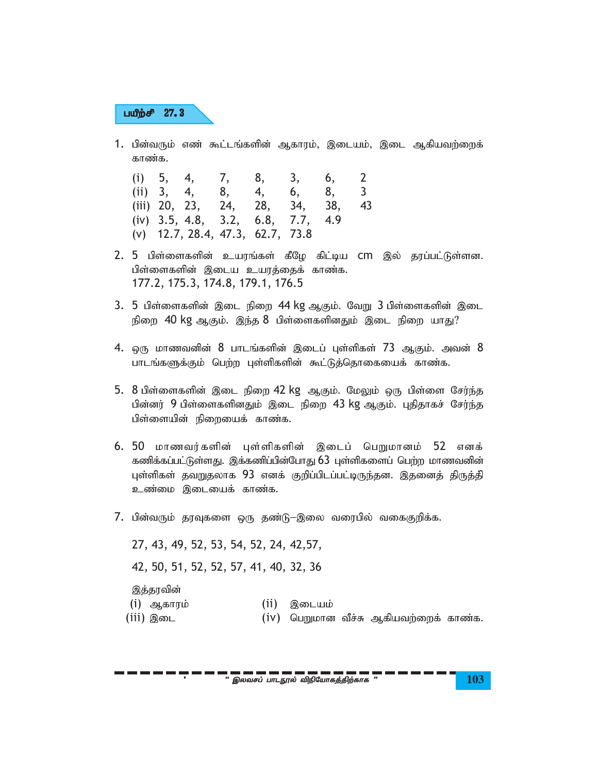# பயீற்சி 27.3

1. பின்வரும் எண் கூட்டங்களின் ஆகாரம், இடையம், இடை ஆகியவற்றைக் காண்க.

|  | (i) 5, 4, 7, 8, 3, 6, 2            |  |  |  |
|--|------------------------------------|--|--|--|
|  | (ii) 3, 4, 8, 4, 6, 8, 3           |  |  |  |
|  | (iii) 20, 23, 24, 28, 34, 38, 43   |  |  |  |
|  | (iv) 3.5, 4.8, 3.2, 6.8, 7.7, 4.9  |  |  |  |
|  | $(v)$ 12.7, 28.4, 47.3, 62.7, 73.8 |  |  |  |

- $2.$  5 பிள்ளைகளின் உயரங்கள் கீழே கிட்டிய CM இல் தரப்பட்டுள்ளன. பிள்ளைகளின் இடைய உயரத்தைக் காண்க. 177.2, 175.3, 174.8, 179.1, 176.5
- $3.5$  பிள்ளைகளின் இடை நிறை 44 kg ஆகும். வேறு  $3$  பிள்ளைகளின் இடை நிறை  $40$  kg ஆகும். இந்த  $8$  பிள்ளைகளினதும் இடை நிறை யாது?
- $4.$  ஒரு மாணவனின்  $8$  பாடங்களின் இடைப் புள்ளிகள்  $73$  ஆகும். அவன்  $8$ பாடங்களுக்கும் பெற்ற புள்ளிகளின் கூட்டுத்தொகையைக் காண்க.
- $5.$  8 பிள்ளைகளின் இடை நிறை 42 kg ஆகும். மேலும் ஒரு பிள்ளை சேர்ந்த பின்னர் 9 பிள்ளைகளினதும் இடை நிறை 43 kg ஆகும். புதிதாகச் சேர்ந்த பிள்ளையின் நிறையைக் காண்க.
- 6. 50 மாணவர்களின் புள்ளிகளின் இடைப் பெறுமானம் 52 எனக் கணிக்கப்பட்டுள்ளது. இக்கணிப்பின்போது 63 புள்ளிகளைப் பெற்ற மாணவனின் புள்ளிகள் தவறுதலாக 93 எனக் குறிப்பிடப்பட்டிருந்தன. இதனைத் திருத்தி உண்மை இடையைக் காண்க.
- 7. பின்வரும் தரவுகளை ஒரு தண்டு−இலை வரைபில் வகைகுறிக்க.

27, 43, 49, 52, 53, 54, 52, 24, 42,57, 42, 50, 51, 52, 52, 57, 41, 40, 32, 36 இத்தரவின் (i) ஆகாரம் (ii) இடையம்  $(iii)$  இடை  $(iv)$  பெறுமான வீச்சு ஆகியவற்றைக் காண்க.